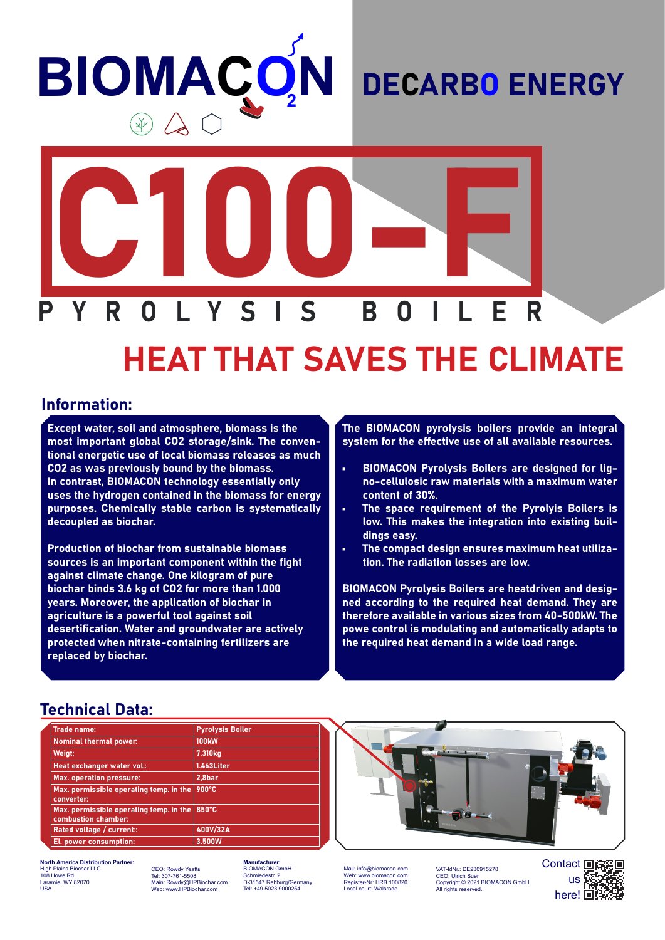# **BIOMACC N**

### DECARBO ENERGY



## HEAT THAT SAVES THE CLIMATE

#### Information:

Except water, soil and atmosphere, biomass is the most important global CO2 storage/sink. The conventional energetic use of local biomass releases as much CO2 as was previously bound by the biomass. In contrast, BIOMACON technology essentially only uses the hydrogen contained in the biomass for energy purposes. Chemically stable carbon is systematically decoupled as biochar.

Production of biochar from sustainable biomass sources is an important component within the fight against climate change. One kilogram of pure biochar binds 3.6 kg of CO2 for more than 1.000 years. Moreover, the application of biochar in agriculture is a powerful tool against soil desertification. Water and groundwater are actively protected when nitrate-containing fertilizers are replaced by biochar.

The BIOMACON pyrolysis boilers provide an integral system for the effective use of all available resources.

- BIOMACON Pyrolysis Boilers are designed for ligno-cellulosic raw materials with a maximum water content of 30%.
- The space requirement of the Pyrolyis Boilers is low. This makes the integration into existing buildings easy.
- The compact design ensures maximum heat utilization. The radiation losses are low.

BIOMACON Pyrolysis Boilers are heatdriven and designed according to the required heat demand. They are therefore available in various sizes from 40-500kW. The powe control is modulating and automatically adapts to the required heat demand in a wide load range.

#### Technical Data:

| <b>Trade name:</b>                                                    | <b>Pyrolysis Boiler</b> |
|-----------------------------------------------------------------------|-------------------------|
| <b>Nominal thermal power:</b>                                         | <b>100kW</b>            |
| Weigt:                                                                | 7.310 <sub>kg</sub>     |
| Heat exchanger water vol.:                                            | 1.463Liter              |
| <b>Max. operation pressure:</b>                                       | 2,8bar                  |
| Max. permissible operating temp. in the<br>converter:                 | 900°C                   |
| Max. permissible operating temp. in the $\mid$<br>combustion chamber: | 850°C                   |
| Rated voltage / current::                                             | 400V/32A                |
| El. power consumption:                                                | 3.500W                  |



**North America Distribution Partner:** High Plains Biochar LLC 108 Howe Rd Laramie, WY 82070 USA

CEO: Rowdy Yeatts Tel: 307-761-5508 Main: Rowdy@HPBiochar.com Web: www.HPBiochar.com

**Manufacturer:** BIOMACON GmbH Schmiedestr. 2 D-31547 Rehburg/Germany Tel: +49 5023 9000254

Mail: info@biomacon.com Web: www.biomacon.com Register-Nr: HRB 100820 Local court: Walsrode

VAT-IdNr.: DE230915278<br>CEO: Ulrich Suer CEO: Ulrich Suer Copyright © 2021 BIOMACON GmbH. All rights reserved.